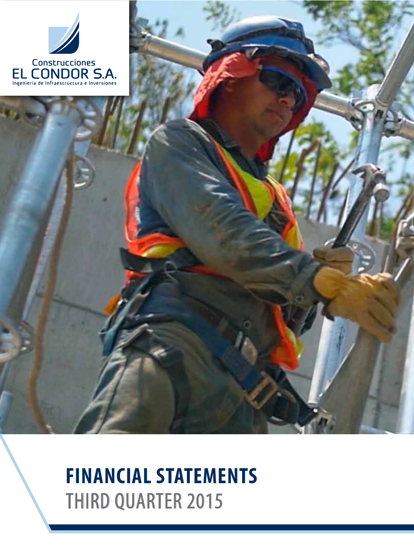

# **FINANCIAL STATEMENTS** THIRD QUARTER 2015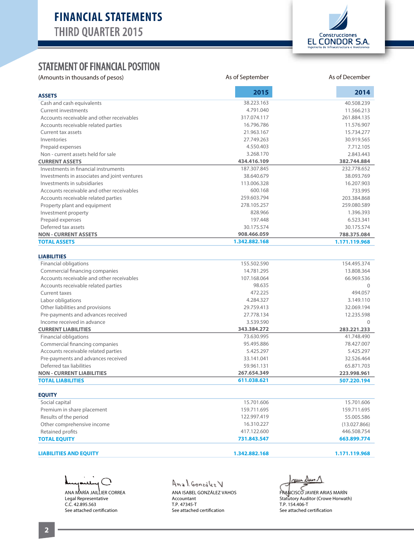

#### STATEMENT OF FINANCIAL POSITION

(Amounts in thousands of pesos)

| (Amounts in thousands of pesos)              | As of September | As of December<br>2014 |  |  |
|----------------------------------------------|-----------------|------------------------|--|--|
| <b>ASSETS</b>                                | 2015            |                        |  |  |
| Cash and cash equivalents                    | 38.223.163      | 40.508.239             |  |  |
| <b>Current investments</b>                   | 4.791.040       | 11.566.213             |  |  |
| Accounts receivable and other receivables    | 317.074.117     | 261.884.135            |  |  |
| Accounts receivable related parties          | 16.796.786      | 11.576.907             |  |  |
| Current tax assets                           | 21.963.167      | 15.734.277             |  |  |
| Inventories                                  | 27.749.263      | 30.919.565             |  |  |
| Prepaid expenses                             | 4.550.403       | 7.712.105              |  |  |
| Non - current assets held for sale           | 3.268.170       | 2.843.443              |  |  |
| <b>CURRENT ASSETS</b>                        | 434.416.109     | 382.744.884            |  |  |
| Investments in financial instruments         | 187.307.845     | 232.778.652            |  |  |
| Investments in associates and joint ventures | 38.640.679      | 38.093.769             |  |  |
| Investments in subsidiaries                  | 113.006.328     | 16.207.903             |  |  |
| Accounts receivable and other receivables    | 600.168         | 733.995                |  |  |
| Accounts receivable related parties          | 259.603.794     | 203.384.868            |  |  |
| Property plant and equipment                 | 278.105.257     | 259.080.589            |  |  |
| Investment property                          | 828.966         | 1.396.393              |  |  |
| Prepaid expenses                             | 197.448         | 6.523.341              |  |  |
| Deferred tax assets                          | 30.175.574      | 30.175.574             |  |  |
| <b>NON - CURRENT ASSETS</b>                  | 908.466.059     | 788.375.084            |  |  |
| <b>TOTAL ASSETS</b>                          | 1.342.882.168   | 1.171.119.968          |  |  |
| <b>LIABILITIES</b>                           |                 |                        |  |  |
| <b>Financial obligations</b>                 | 155.502.590     | 154.495.374            |  |  |
| Commercial financing companies               | 14.781.295      | 13.808.364             |  |  |
| Accounts receivable and other receivables    | 107.168.064     | 66.969.536             |  |  |
| Accounts receivable related parties          | 98.635          | $\Omega$               |  |  |
| Current taxes                                | 472.225         | 494.057                |  |  |
| Labor obligations                            | 4.284.327       | 3.149.110              |  |  |
| Other liabilities and provisions             | 29.759.413      | 32.069.194             |  |  |
| Pre-payments and advances received           | 27.778.134      | 12.235.598             |  |  |
| Income received in advance                   | 3.539.590       | $\Omega$               |  |  |
| <b>CURRENT LIABILITIES</b>                   | 343.384.272     | 283.221.233            |  |  |
| Financial obligations                        | 73.630.995      | 41.748.490             |  |  |
| Commercial financing companies               | 95.495.886      | 78.427.007             |  |  |
| Accounts receivable related parties          | 5.425.297       | 5.425.297              |  |  |
| Pre-payments and advances received           | 33.141.041      | 32.526.464             |  |  |
| Deferred tax liabilities                     | 59.961.131      | 65.871.703             |  |  |
| <b>NON - CURRENT LIABILITIES</b>             | 267.654.349     | 223.998.961            |  |  |
| <b>TOTAL LIABILITIES</b>                     | 611.038.621     | 507.220.194            |  |  |
| <b>EQUITY</b>                                |                 |                        |  |  |
| Social capital                               | 15.701.606      | 15.701.606             |  |  |
| Premium in share placement                   | 159.711.695     | 159.711.695            |  |  |
| Results of the period                        | 122.997.419     | 55.005.586             |  |  |
| Other comprehensive income                   | 16.310.227      | (13.027.866)           |  |  |
| Retained profits                             | 417.122.600     | 446.508.754            |  |  |
| <b>TOTAL EQUITY</b>                          | 731.843.547     | 663.899.774            |  |  |

#### **LIABILITIES AND EQUITY**

ヽ ANA MARÍA JAILLIER CORREA Legal Representative C.C. 42.895.563 See attached certification

Anal González V ANA ISABEL GONZÁLEZ VAHOS Accountant T.P. 47345-T

See attached certification

 **1.342.882.168** 

au Dun 1

FRANCISCO JAVIER ARIAS MARÍN Statutory Auditor (Crowe Horwath) T.P. 154.406-T See attached certification

 **1.171.119.968**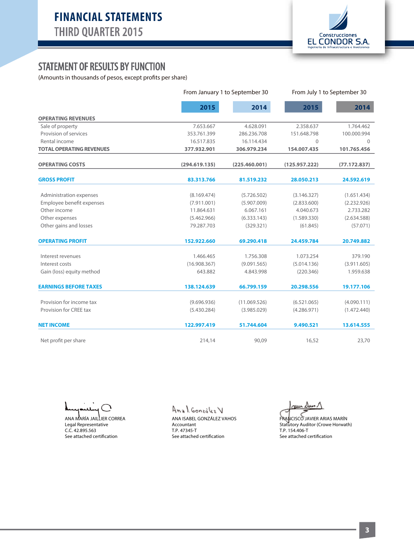

### STATEMENT OF RESULTS BY FUNCTION

(Amounts in thousands of pesos, except profits per share)

|                                 |               | From January 1 to September 30 |               | From July 1 to September 30 |  |  |
|---------------------------------|---------------|--------------------------------|---------------|-----------------------------|--|--|
|                                 | 2015          | 2014                           | 2015          | 2014                        |  |  |
| <b>OPERATING REVENUES</b>       |               |                                |               |                             |  |  |
| Sale of property                | 7.653.667     | 4.628.091                      | 2.358.637     | 1.764.462                   |  |  |
| Provision of services           | 353.761.399   | 286.236.708                    | 151.648.798   | 100.000.994                 |  |  |
| Rental income                   | 16.517.835    | 16.114.434                     | $\Omega$      | $\Omega$                    |  |  |
| <b>TOTAL OPERATING REVENUES</b> | 377.932.901   | 306.979.234                    | 154.007.435   | 101.765.456                 |  |  |
| <b>OPERATING COSTS</b>          | (294.619.135) | (225.460.001)                  | (125.957.222) | (77.172.837)                |  |  |
| <b>GROSS PROFIT</b>             | 83.313.766    | 81.519.232                     | 28.050.213    | 24.592.619                  |  |  |
| Administration expenses         | (8.169.474)   | (5.726.502)                    | (3.146.327)   | (1.651.434)                 |  |  |
| Employee benefit expenses       | (7.911.001)   | (5.907.009)                    | (2.833.600)   | (2.232.926)                 |  |  |
| Other income                    | 11.864.631    | 6.067.161                      | 4.040.673     | 2.733.282                   |  |  |
| Other expenses                  | (5.462.966)   | (6.333.143)                    | (1.589.330)   | (2.634.588)                 |  |  |
| Other gains and losses          | 79.287.703    | (329.321)                      | (61.845)      | (57.071)                    |  |  |
| <b>OPERATING PROFIT</b>         | 152.922.660   | 69.290.418                     | 24.459.784    | 20.749.882                  |  |  |
| Interest revenues               | 1.466.465     | 1.756.308                      | 1.073.254     | 379.190                     |  |  |
| Interest costs                  | (16.908.367)  | (9.091.565)                    | (5.014.136)   | (3.911.605)                 |  |  |
| Gain (loss) equity method       | 643.882       | 4.843.998                      | (220.346)     | 1.959.638                   |  |  |
| <b>EARNINGS BEFORE TAXES</b>    | 138.124.639   | 66.799.159                     | 20.298.556    | 19.177.106                  |  |  |
| Provision for income tax        | (9.696.936)   | (11.069.526)                   | (6.521.065)   | (4.090.111)                 |  |  |
| Provision for CREE tax          | (5.430.284)   | (3.985.029)                    | (4.286.971)   | (1.472.440)                 |  |  |
| <b>NET INCOME</b>               | 122.997.419   | 51.744.604                     | 9.490.521     | 13.614.555                  |  |  |
| Net profit per share            | 214,14        | 90,09                          | 16,52         | 23,70                       |  |  |

╲

ANA MARÍA JAILLIER CORREA Legal Representative C.C. 42.895.563 See attached certification

Anal González V

ANA ISABEL GONZÁLEZ VAHOS Accountant T.P. 47345-T See attached certification

حسن Dun N

FRANCISCO JAVIER ARIAS MARÍN Statutory Auditor (Crowe Horwath) T.P. 154.406-T See attached certification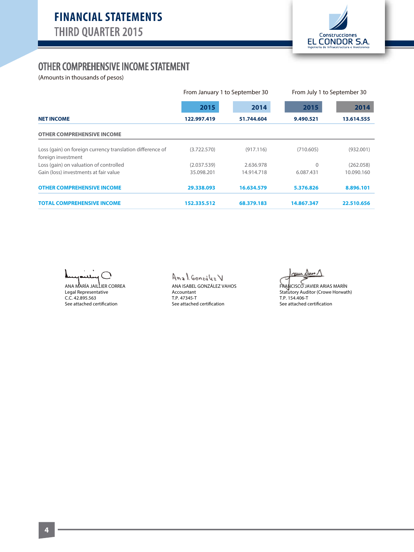

#### OTHER COMPREHENSIVE INCOME STATEMENT

(Amounts in thousands of pesos)

|                                                                                 | From January 1 to September 30 |            | From July 1 to September 30 |            |  |
|---------------------------------------------------------------------------------|--------------------------------|------------|-----------------------------|------------|--|
|                                                                                 | 2015                           | 2014       | 2015                        | 2014       |  |
| <b>NET INCOME</b>                                                               | 122.997.419                    | 51.744.604 | 9.490.521                   | 13.614.555 |  |
| <b>OTHER COMPREHENSIVE INCOME</b>                                               |                                |            |                             |            |  |
| Loss (gain) on foreign currency translation difference of<br>foreign investment | (3.722.570)                    | (917.116)  | (710.605)                   | (932.001)  |  |
| Loss (gain) on valuation of controlled                                          | (2.037.539)                    | 2.636.978  | $\Omega$                    | (262.058)  |  |
| Gain (loss) investments at fair value                                           | 35.098.201                     | 14.914.718 | 6.087.431                   | 10.090.160 |  |
| <b>OTHER COMPREHENSIVE INCOME</b>                                               | 29.338.093                     | 16.634.579 | 5.376.826                   | 8.896.101  |  |
| <b>TOTAL COMPREHENSIVE INCOME</b>                                               | 152.335.512                    | 68.379.183 | 14.867.347                  | 22.510.656 |  |

╲

ANA MARÍA JAILLIER CORREA Legal Representative C.C. 42.895.563 See attached certification

#### Anal González V

ANA ISABEL GONZÁLEZ VAHOS Accountant T.P. 47345-T See attached certification

au Dun

FRANCISCO JAVIER ARIAS MARÍN Statutory Auditor (Crowe Horwath) T.P. 154.406-T See attached certification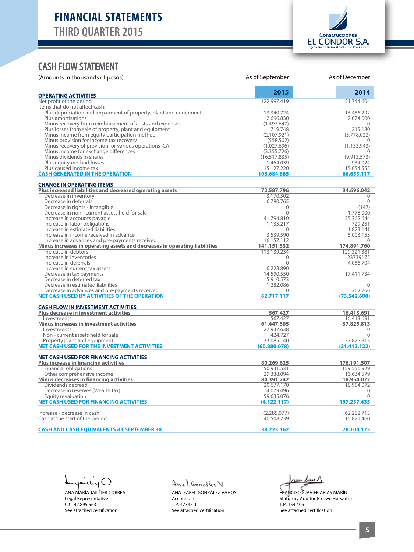

#### CASH FLOW STATEMENT

| (Amounts in thousands of pesos)                                                                 | As of September            | As of December             |
|-------------------------------------------------------------------------------------------------|----------------------------|----------------------------|
| <b>OPERATING ACTIVITIES</b>                                                                     | 2015                       | 2014                       |
| Net profit of the period<br>Items that do not affect cash:                                      | 122.997.419                | 51.744.604                 |
| Plus depreciation and impairment of property, plant and equipment                               | 13.340.724                 | 13.456.292                 |
| Plus amortizations                                                                              | 2.696.830                  | 2.074.000                  |
| Minus recovery from reimbursement of costs and expenses                                         | (1.497.647)                | $\Omega$                   |
| Plus losses from sale of property, plant and equipment                                          | 719.748                    | 215.180                    |
| Minus income from equity participation method                                                   | (2.107.921)                | (5.778.022)                |
| Minus provision for income tax recovery                                                         | (558.502)                  | 0                          |
| Minus recovery of provision for various operations ICA<br>Minus income for exchange differences | (1.027.696)<br>(3.355.726) | (1.133.943)<br>$\Omega$    |
| Minus dividends in shares                                                                       | (16.517.835)               | (9.913.573)                |
| Plus equity method losses                                                                       | 1.464.039                  | 934.024                    |
| Plus caused income tax                                                                          | 15.127.220                 | 15.054.555                 |
| <b>CASH GENERATED IN THE OPERATION</b>                                                          | 108.684.885                | 66.653.117                 |
| <b>CHANGE IN OPERATING ITEMS</b><br>Plus increased liabilities and decreased operating assets   | 72.587.796                 | 34.696.042                 |
| Decrease in inventory                                                                           | 3.170.302                  | 0                          |
| Decrease in deferrals                                                                           | 6.790.765                  | $\mathbf{0}$               |
| Decrease in rights - intangible                                                                 | $\Omega$                   | (147)                      |
| Decrease in non - current assets held for sale                                                  | $\mathbf{0}$               | 1.778.000                  |
| Increase in accounts payable                                                                    | 41.794.810                 | 25.362.644                 |
| Increase in labor obligations                                                                   | 1.135.217                  | 729.251                    |
| Increase in estimated liabilities<br>Increase in income received in advance                     | $\Omega$<br>3.539.590      | 1.823.141<br>5.003.153     |
| Increase in advances and pre-payments received                                                  | 16.157.112                 | $\Omega$                   |
| Minus increases in operating assets and decreases in operating liabilities                      | 141.151.332                | 174.891.760                |
| Increase in debtors                                                                             | 113.139.234                | 129.321.381                |
| Increase in inventories                                                                         | $\Omega$                   | 23739175                   |
| Increase in deferrals                                                                           | $\Omega$                   | 4.056.704                  |
| Increase in current tax assets                                                                  | 6.228.890                  |                            |
| Decrease in tax payments<br>Decrease in deferred tax                                            | 14.590.550<br>5.910.573    | 17.411.734                 |
| Decrease in estimated liabilities                                                               | 1.282.086                  | $\Omega$                   |
| Decrease in advances and pre-payments received                                                  | $\Omega$                   | 362.766                    |
| NET CASH USED BY ACTIVITIES OF THE OPERATION                                                    | 62.717.117                 | (73.542.600)               |
| <b>CASH FLOW IN INVESTMENT ACTIVITIES</b>                                                       |                            |                            |
| <b>Plus decrease in investment activities</b>                                                   | 567.427                    | 16.413.691                 |
| Investments<br><b>Minus increases in investment activities</b>                                  | 567.427<br>61.447.505      | 16.413.691<br>37.825.813   |
| Investments                                                                                     | 27.937.638                 | $\Omega$                   |
| Non - current assets held for sale                                                              | 424.727                    | $\Omega$                   |
| Property plant and equipment                                                                    | 33.085.140                 | 37.825.813                 |
| NET CASH USED FOR THE INVESTMENT ACTIVITIES                                                     | (60.880.078)               | (21.412.122)               |
| <b>NET CASH USED FOR FINANCING ACTIVITIES</b>                                                   |                            |                            |
| <b>Plus increase in financing activities</b><br><b>Financial obligations</b>                    | 80.269.625<br>50.931.531   | 176.191.507<br>159.556.929 |
| Other comprehensive income                                                                      | 29.338.094                 | 16.634.579                 |
| <b>Minus decreases in financing activities</b>                                                  | 84.391.742                 | 18.954.072                 |
| Dividends decreed                                                                               | 20.677.170                 | 18.954.072                 |
| Decrease in reserves (Wealth tax)                                                               | 4.079.496                  | $\Omega$                   |
| Equity revaluation                                                                              | 59.635.076                 | $\Omega$                   |
| <b>NET CASH USED FOR FINANCING ACTIVITIES</b>                                                   | (4.122.117)                | 157.237.435                |
| Increase - decrease in cash                                                                     | (2.285.077)                | 62.282.713                 |
| Cash at the start of the period                                                                 | 40.508.239                 | 15.821.460                 |
| <b>CASH AND CASH EQUIVALENTS AT SEPTEMBER 30</b>                                                | 38.223.162                 | 78.104.173                 |

 $\bigcap$ 

ANA MARÍA JAILLIER CORREA Legal Representative C.C. 42.895.563 See attached certification

## Anal González V

ANA ISABEL GONZÁLEZ VAHOS Accountant T.P. 47345-T See attached certification

au Dun 1

FRANCISCO JAVIER ARIAS MARÍN Statutory Auditor (Crowe Horwath) T.P. 154.406-T See attached certification